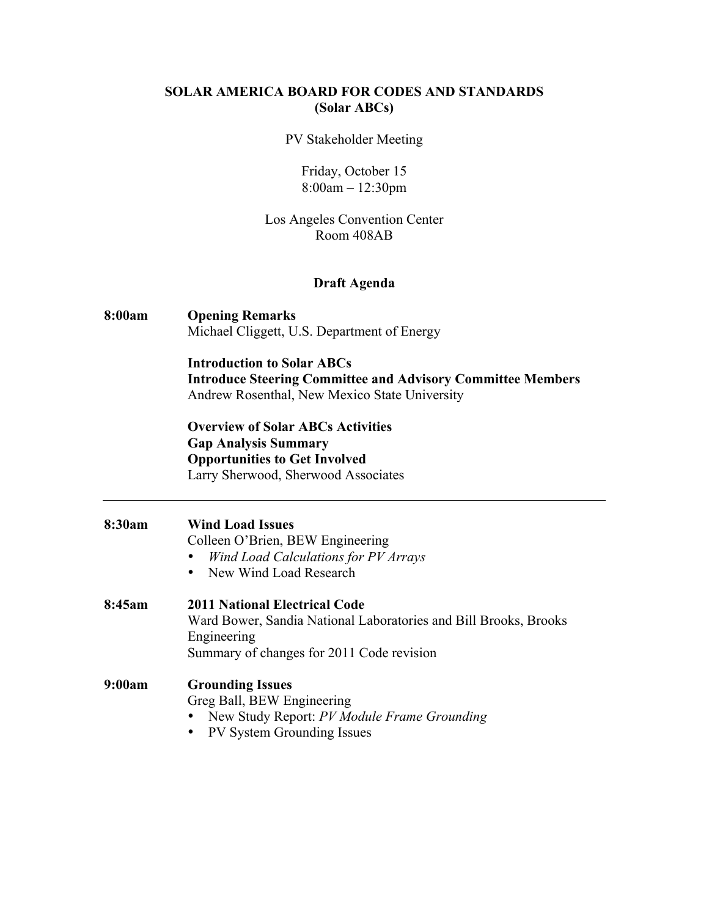# **SOLAR AMERICA BOARD FOR CODES AND STANDARDS (Solar ABCs)**

#### PV Stakeholder Meeting

Friday, October 15 8:00am – 12:30pm

# Los Angeles Convention Center Room 408AB

### **Draft Agenda**

### **8:00am Opening Remarks** Michael Cliggett, U.S. Department of Energy

**Introduction to Solar ABCs Introduce Steering Committee and Advisory Committee Members** Andrew Rosenthal, New Mexico State University

**Overview of Solar ABCs Activities Gap Analysis Summary Opportunities to Get Involved** Larry Sherwood, Sherwood Associates

| 8:30am | <b>Wind Load Issues</b><br>Colleen O'Brien, BEW Engineering<br>Wind Load Calculations for PV Arrays<br>New Wind Load Research<br>$\bullet$                           |
|--------|----------------------------------------------------------------------------------------------------------------------------------------------------------------------|
| 8:45am | <b>2011 National Electrical Code</b><br>Ward Bower, Sandia National Laboratories and Bill Brooks, Brooks<br>Engineering<br>Summary of changes for 2011 Code revision |
| 9:00am | <b>Grounding Issues</b><br>Greg Ball, BEW Engineering<br>New Study Report: PV Module Frame Grounding<br><b>PV System Grounding Issues</b><br>$\bullet$               |